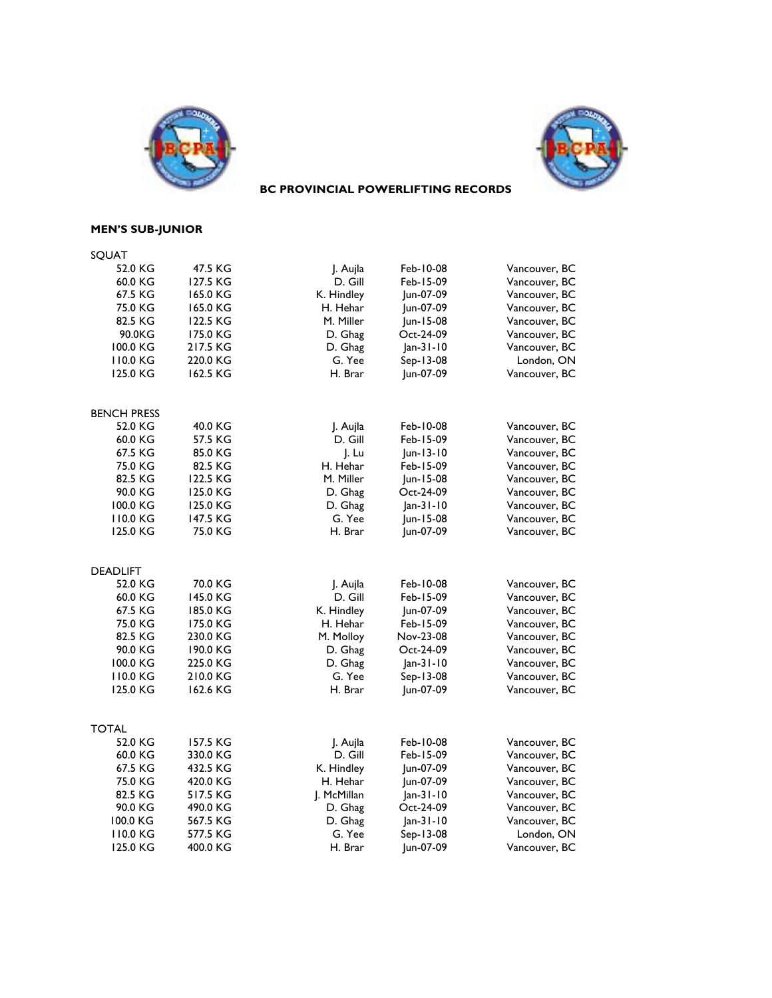



## **BC PROVINCIAL POWERLIFTING RECORDS**

## **MEN'S SUB-JUNIOR**

| SQUAT                   |          |                     |             |               |
|-------------------------|----------|---------------------|-------------|---------------|
| 52.0 KG                 | 47.5 KG  | J. Aujla            | Feb-10-08   | Vancouver, BC |
| 60.0 KG                 | 127.5 KG | D. Gill             | Feb-15-09   | Vancouver, BC |
| 67.5 KG                 | 165.0 KG | K. Hindley          | Jun-07-09   | Vancouver, BC |
| 75.0 KG                 | 165.0 KG | H. Hehar            | Jun-07-09   | Vancouver, BC |
| 82.5 KG                 | 122.5 KG | M. Miller           | Jun-15-08   | Vancouver, BC |
| 90.0KG                  | 175.0 KG | D. Ghag             | Oct-24-09   | Vancouver, BC |
| 100.0 KG                | 217.5 KG | D. Ghag             | $Jan-31-10$ | Vancouver, BC |
| 110.0 KG                | 220.0 KG | G. Yee              | Sep-13-08   | London, ON    |
| 125.0 KG                | 162.5 KG | H. Brar             | Jun-07-09   | Vancouver, BC |
|                         |          |                     |             |               |
| <b>BENCH PRESS</b>      |          |                     |             |               |
| 52.0 KG                 | 40.0 KG  | J. Aujla            | Feb-10-08   | Vancouver, BC |
| 60.0 KG                 | 57.5 KG  | D. Gill             | Feb-15-09   | Vancouver, BC |
| 67.5 KG                 | 85.0 KG  | J. Lu               | Jun-13-10   | Vancouver, BC |
| 75.0 KG                 | 82.5 KG  | H. Hehar            | Feb-15-09   | Vancouver, BC |
| 82.5 KG                 | 122.5 KG | M. Miller           | Jun-15-08   | Vancouver, BC |
| 90.0 KG                 | 125.0 KG | D. Ghag             | Oct-24-09   | Vancouver, BC |
| 100.0 KG                | 125.0 KG | D. Ghag             | Jan-31-10   | Vancouver, BC |
| 110.0 KG                | 147.5 KG | G. Yee              | Jun-15-08   | Vancouver, BC |
| 125.0 KG                | 75.0 KG  | H. Brar             | Jun-07-09   | Vancouver, BC |
|                         |          |                     |             |               |
| <b>DEADLIFT</b>         |          |                     |             |               |
| 52.0 KG                 | 70.0 KG  | J. Aujla            | Feb-10-08   | Vancouver, BC |
| 60.0 KG                 | 145.0 KG | D. Gill             | Feb-15-09   | Vancouver, BC |
| 67.5 KG                 | 185.0 KG | K. Hindley          | Jun-07-09   | Vancouver, BC |
| 75.0 KG                 | 175.0 KG | H. Hehar            | Feb-15-09   | Vancouver, BC |
| 82.5 KG                 | 230.0 KG | M. Molloy           | Nov-23-08   | Vancouver, BC |
| 90.0 KG                 | 190.0 KG | D. Ghag             | Oct-24-09   | Vancouver, BC |
| 100.0 KG                | 225.0 KG | D. Ghag             | $Jan-31-10$ | Vancouver, BC |
| 110.0 KG                | 210.0 KG | G. Yee              | Sep-13-08   | Vancouver, BC |
| 125.0 KG                | 162.6 KG | H. Brar             | Jun-07-09   | Vancouver, BC |
|                         |          |                     |             |               |
| <b>TOTAL</b><br>52.0 KG | 157.5 KG |                     | Feb-10-08   | Vancouver, BC |
| 60.0 KG                 | 330.0 KG | J. Aujla<br>D. Gill | Feb-15-09   | Vancouver, BC |
| 67.5 KG                 | 432.5 KG | K. Hindley          | Jun-07-09   | Vancouver, BC |
| 75.0 KG                 | 420.0 KG | H. Hehar            | Jun-07-09   | Vancouver, BC |
| 82.5 KG                 | 517.5 KG | J. McMillan         | Jan-31-10   | Vancouver, BC |
| 90.0 KG                 | 490.0 KG | D. Ghag             | Oct-24-09   | Vancouver, BC |
| 100.0 KG                | 567.5 KG | D. Ghag             | $Jan-31-10$ | Vancouver, BC |
| 110.0 KG                | 577.5 KG | G. Yee              | Sep-13-08   | London, ON    |
| 125.0 KG                | 400.0 KG | H. Brar             | Jun-07-09   | Vancouver, BC |
|                         |          |                     |             |               |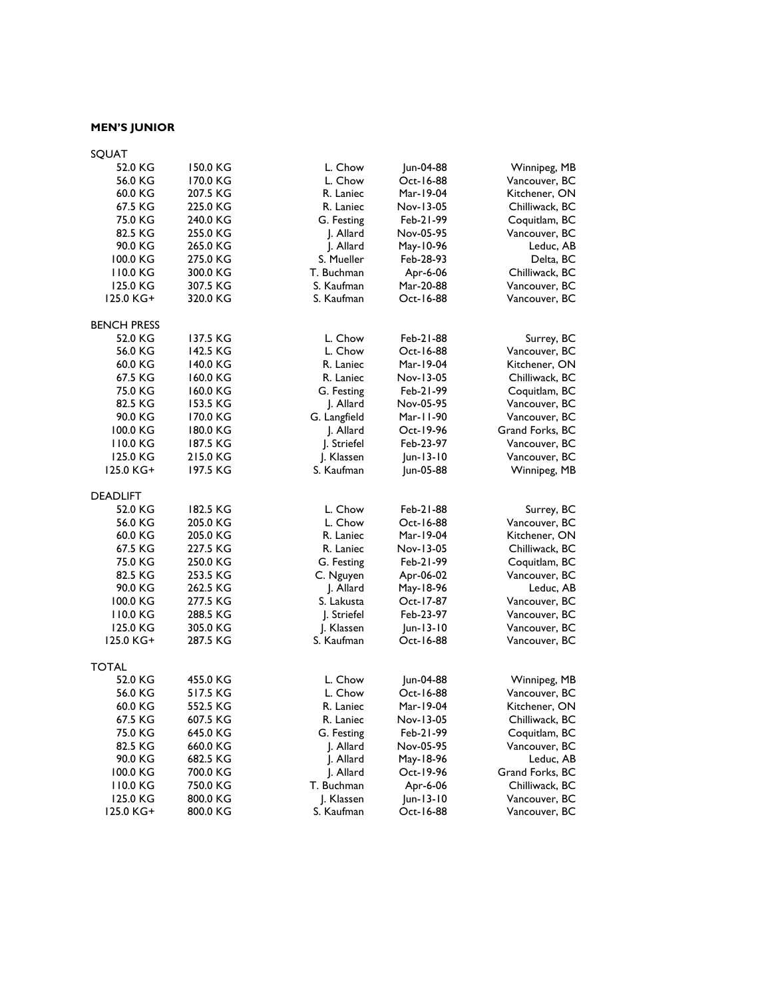# **MEN'S JUNIOR**

| SQUAT              |          |              |           |                 |
|--------------------|----------|--------------|-----------|-----------------|
| 52.0 KG            | 150.0 KG | L. Chow      | Jun-04-88 | Winnipeg, MB    |
| 56.0 KG            | 170.0 KG | L. Chow      | Oct-16-88 | Vancouver, BC   |
| 60.0 KG            | 207.5 KG | R. Laniec    | Mar-19-04 | Kitchener, ON   |
| 67.5 KG            | 225.0 KG | R. Laniec    | Nov-13-05 | Chilliwack, BC  |
| 75.0 KG            | 240.0 KG | G. Festing   | Feb-21-99 | Coquitlam, BC   |
| 82.5 KG            | 255.0 KG | J. Allard    | Nov-05-95 | Vancouver, BC   |
| 90.0 KG            | 265.0 KG | J. Allard    | May-10-96 | Leduc, AB       |
| 100.0 KG           | 275.0 KG | S. Mueller   | Feb-28-93 | Delta, BC       |
| 110.0 KG           | 300.0 KG | T. Buchman   | Apr-6-06  | Chilliwack, BC  |
| 125.0 KG           | 307.5 KG | S. Kaufman   | Mar-20-88 | Vancouver, BC   |
| 125.0 KG+          | 320.0 KG | S. Kaufman   | Oct-16-88 | Vancouver, BC   |
|                    |          |              |           |                 |
| <b>BENCH PRESS</b> |          |              |           |                 |
| 52.0 KG            | 137.5 KG | L. Chow      | Feb-21-88 | Surrey, BC      |
| 56.0 KG            | 142.5 KG | L. Chow      | Oct-16-88 | Vancouver, BC   |
| 60.0 KG            | 140.0 KG | R. Laniec    | Mar-19-04 | Kitchener, ON   |
| 67.5 KG            | 160.0 KG | R. Laniec    | Nov-13-05 | Chilliwack, BC  |
| 75.0 KG            | 160.0 KG | G. Festing   | Feb-21-99 | Coquitlam, BC   |
| 82.5 KG            | 153.5 KG | J. Allard    | Nov-05-95 | Vancouver, BC   |
| 90.0 KG            | 170.0 KG | G. Langfield | Mar-11-90 | Vancouver, BC   |
| 100.0 KG           | 180.0 KG | J. Allard    | Oct-19-96 | Grand Forks, BC |
| 110.0 KG           | 187.5 KG | J. Striefel  | Feb-23-97 | Vancouver, BC   |
| 125.0 KG           | 215.0 KG | J. Klassen   | Jun-13-10 | Vancouver, BC   |
| 125.0 KG+          | 197.5 KG | S. Kaufman   | Jun-05-88 | Winnipeg, MB    |
| <b>DEADLIFT</b>    |          |              |           |                 |
| 52.0 KG            | 182.5 KG | L. Chow      | Feb-21-88 | Surrey, BC      |
| 56.0 KG            | 205.0 KG | L. Chow      | Oct-16-88 | Vancouver, BC   |
| 60.0 KG            | 205.0 KG | R. Laniec    | Mar-19-04 | Kitchener, ON   |
| 67.5 KG            | 227.5 KG | R. Laniec    | Nov-13-05 | Chilliwack, BC  |
| 75.0 KG            | 250.0 KG | G. Festing   | Feb-21-99 | Coquitlam, BC   |
| 82.5 KG            | 253.5 KG | C. Nguyen    | Apr-06-02 | Vancouver, BC   |
| 90.0 KG            | 262.5 KG | J. Allard    | May-18-96 | Leduc, AB       |
| 100.0 KG           | 277.5 KG | S. Lakusta   | Oct-17-87 | Vancouver, BC   |
| 110.0 KG           | 288.5 KG | J. Striefel  | Feb-23-97 | Vancouver, BC   |
| 125.0 KG           | 305.0 KG | J. Klassen   | Jun-13-10 | Vancouver, BC   |
| 125.0 KG+          | 287.5 KG | S. Kaufman   | Oct-16-88 | Vancouver, BC   |
|                    |          |              |           |                 |
| <b>TOTAL</b>       |          |              |           |                 |
| 52.0 KG            | 455.0 KG | L. Chow      | Jun-04-88 | Winnipeg, MB    |
| 56.0 KG            | 517.5 KG | L. Chow      | Oct-16-88 | Vancouver, BC   |
| 60.0 KG            | 552.5 KG | R. Laniec    | Mar-19-04 | Kitchener, ON   |
| 67.5 KG            | 607.5 KG | R. Laniec    | Nov-13-05 | Chilliwack, BC  |
| 75.0 KG            | 645.0 KG | G. Festing   | Feb-21-99 | Coquitlam, BC   |
| 82.5 KG            | 660.0 KG | J. Allard    | Nov-05-95 | Vancouver, BC   |
| 90.0 KG            | 682.5 KG | J. Allard    | May-18-96 | Leduc, AB       |
| 100.0 KG           | 700.0 KG | J. Allard    | Oct-19-96 | Grand Forks, BC |
| 110.0 KG           | 750.0 KG | T. Buchman   | Apr-6-06  | Chilliwack, BC  |
| 125.0 KG           | 800.0 KG | J. Klassen   | Jun-13-10 | Vancouver, BC   |
| 125.0 KG+          | 800.0 KG | S. Kaufman   | Oct-16-88 | Vancouver, BC   |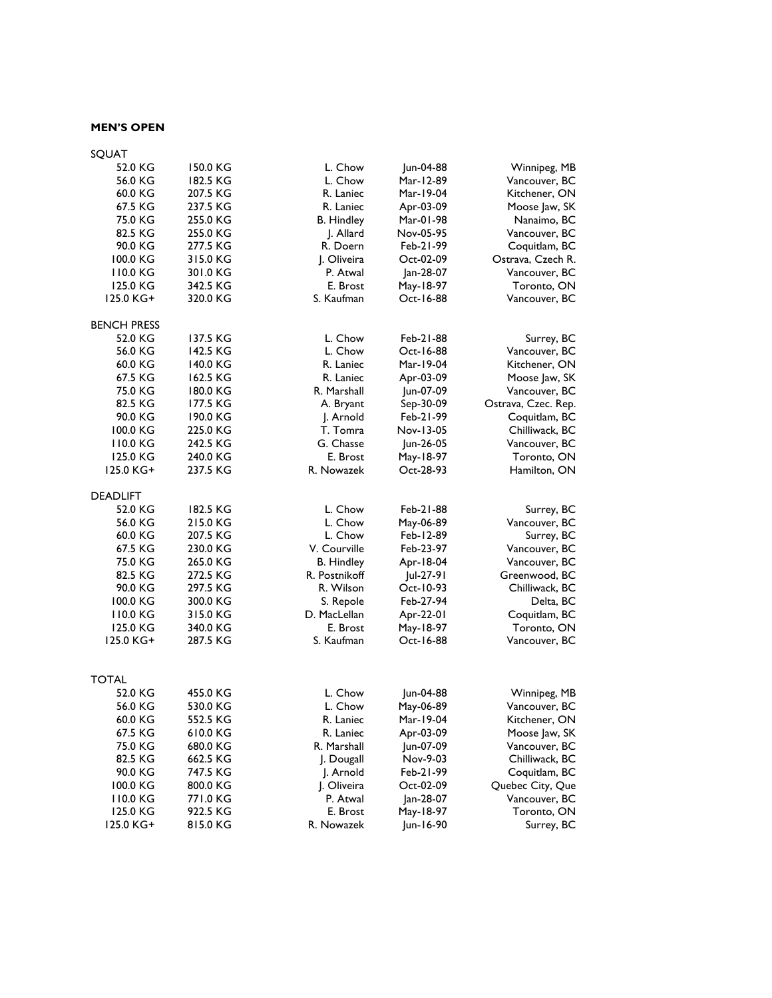### **MEN'S OPEN**

| SQUAT              |          |                   |           |                     |
|--------------------|----------|-------------------|-----------|---------------------|
| 52.0 KG            | 150.0 KG | L. Chow           | Jun-04-88 | Winnipeg, MB        |
| 56.0 KG            | 182.5 KG | L. Chow           | Mar-12-89 | Vancouver, BC       |
| 60.0 KG            | 207.5 KG | R. Laniec         | Mar-19-04 | Kitchener, ON       |
| 67.5 KG            | 237.5 KG | R. Laniec         | Apr-03-09 | Moose Jaw, SK       |
| 75.0 KG            | 255.0 KG | <b>B.</b> Hindley | Mar-01-98 | Nanaimo, BC         |
| 82.5 KG            | 255.0 KG | J. Allard         | Nov-05-95 | Vancouver, BC       |
| 90.0 KG            | 277.5 KG | R. Doern          | Feb-21-99 | Coquitlam, BC       |
| 100.0 KG           | 315.0 KG | J. Oliveira       | Oct-02-09 | Ostrava, Czech R.   |
| 110.0 KG           | 301.0 KG | P. Atwal          | Jan-28-07 | Vancouver, BC       |
| 125.0 KG           | 342.5 KG | E. Brost          | May-18-97 | Toronto, ON         |
| 125.0 KG+          | 320.0 KG | S. Kaufman        | Oct-16-88 | Vancouver, BC       |
| <b>BENCH PRESS</b> |          |                   |           |                     |
| 52.0 KG            | 137.5 KG | L. Chow           | Feb-21-88 | Surrey, BC          |
| 56.0 KG            | 142.5 KG | L. Chow           | Oct-16-88 | Vancouver, BC       |
| 60.0 KG            | 140.0 KG | R. Laniec         | Mar-19-04 | Kitchener, ON       |
| 67.5 KG            | 162.5 KG | R. Laniec         | Apr-03-09 | Moose Jaw, SK       |
| 75.0 KG            | 180.0 KG | R. Marshall       | Jun-07-09 | Vancouver, BC       |
| 82.5 KG            | 177.5 KG | A. Bryant         | Sep-30-09 | Ostrava, Czec. Rep. |
| 90.0 KG            | 190.0 KG | J. Arnold         | Feb-21-99 | Coquitlam, BC       |
| 100.0 KG           | 225.0 KG | T. Tomra          | Nov-13-05 | Chilliwack, BC      |
| 110.0 KG           | 242.5 KG | G. Chasse         | Jun-26-05 | Vancouver, BC       |
| 125.0 KG           | 240.0 KG | E. Brost          | May-18-97 | Toronto, ON         |
| 125.0 KG+          | 237.5 KG | R. Nowazek        | Oct-28-93 | Hamilton, ON        |
| <b>DEADLIFT</b>    |          |                   |           |                     |
| 52.0 KG            | 182.5 KG | L. Chow           | Feb-21-88 | Surrey, BC          |
| 56.0 KG            | 215.0 KG | L. Chow           | May-06-89 | Vancouver, BC       |
| 60.0 KG            | 207.5 KG | L. Chow           | Feb-12-89 | Surrey, BC          |
| 67.5 KG            | 230.0 KG | V. Courville      | Feb-23-97 | Vancouver, BC       |
| 75.0 KG            | 265.0 KG | <b>B.</b> Hindley | Apr-18-04 | Vancouver, BC       |
| 82.5 KG            | 272.5 KG | R. Postnikoff     | Jul-27-91 | Greenwood, BC       |
| 90.0 KG            | 297.5 KG | R. Wilson         | Oct-10-93 | Chilliwack, BC      |
| 100.0 KG           | 300.0 KG | S. Repole         | Feb-27-94 | Delta, BC           |
| 110.0 KG           | 315.0 KG | D. MacLellan      | Apr-22-01 | Coquitlam, BC       |
| 125.0 KG           | 340.0 KG | E. Brost          | May-18-97 | Toronto, ON         |
| 125.0 KG+          | 287.5 KG | S. Kaufman        | Oct-16-88 | Vancouver, BC       |
|                    |          |                   |           |                     |
| <b>TOTAL</b>       |          |                   |           |                     |
| 52.0 KG            | 455.0 KG | L. Chow           | Jun-04-88 | Winnipeg, MB        |
| 56.0 KG            | 530.0 KG | L. Chow           | May-06-89 | Vancouver, BC       |
| 60.0 KG            | 552.5 KG | R. Laniec         | Mar-19-04 | Kitchener, ON       |
| 67.5 KG            | 610.0 KG | R. Laniec         | Apr-03-09 | Moose Jaw, SK       |
| 75.0 KG            | 680.0 KG | R. Marshall       | Jun-07-09 | Vancouver, BC       |
| 82.5 KG            | 662.5 KG | J. Dougall        | Nov-9-03  | Chilliwack, BC      |
| 90.0 KG            | 747.5 KG | J. Arnold         | Feb-21-99 | Coquitlam, BC       |
| 100.0 KG           | 800.0 KG | J. Oliveira       | Oct-02-09 | Quebec City, Que    |
| 110.0 KG           | 771.0 KG | P. Atwal          | Jan-28-07 | Vancouver, BC       |
| 125.0 KG           | 922.5 KG | E. Brost          | May-18-97 | Toronto, ON         |
| 125.0 KG+          | 815.0 KG | R. Nowazek        | Jun-16-90 | Surrey, BC          |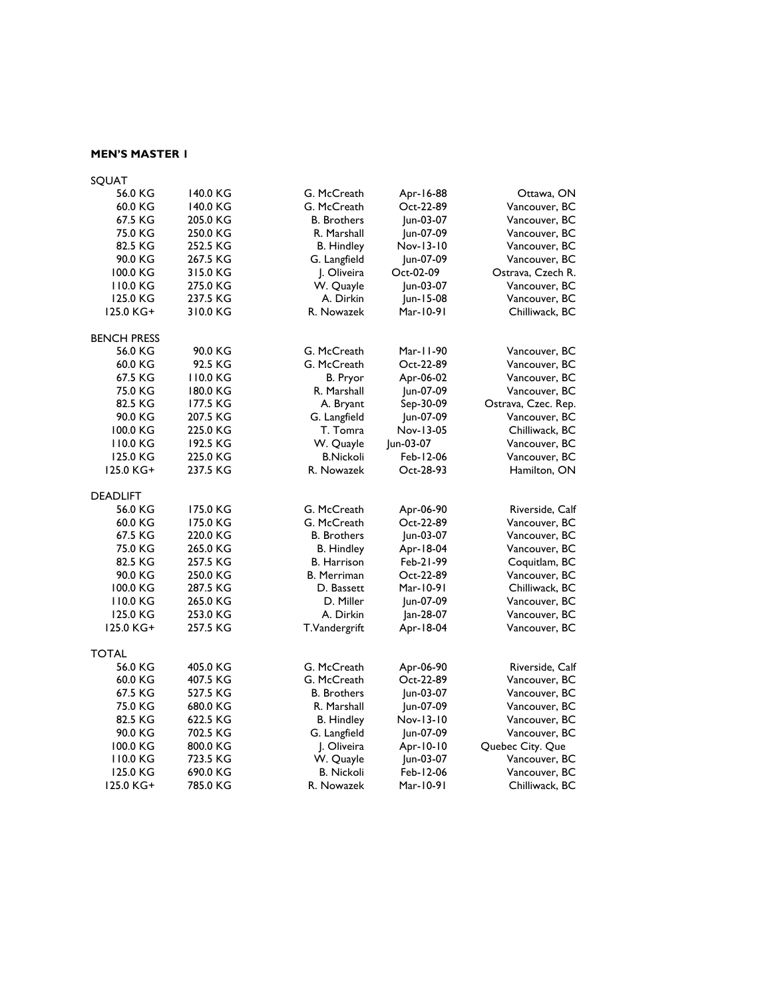### **MEN'S MASTER 1**

| SQUAT              |          |                    |           |                     |
|--------------------|----------|--------------------|-----------|---------------------|
| 56.0 KG            | 140.0 KG | G. McCreath        | Apr-16-88 | Ottawa, ON          |
| 60.0 KG            | 140.0 KG | G. McCreath        | Oct-22-89 | Vancouver, BC       |
| 67.5 KG            | 205.0 KG | <b>B.</b> Brothers | Jun-03-07 | Vancouver, BC       |
| 75.0 KG            | 250.0 KG | R. Marshall        | Jun-07-09 | Vancouver, BC       |
| 82.5 KG            | 252.5 KG | B. Hindley         | Nov-13-10 | Vancouver, BC       |
| 90.0 KG            | 267.5 KG | G. Langfield       | Jun-07-09 | Vancouver, BC       |
| 100.0 KG           | 315.0 KG | J. Oliveira        | Oct-02-09 | Ostrava, Czech R.   |
| 110.0 KG           | 275.0 KG | W. Quayle          | Jun-03-07 | Vancouver, BC       |
| 125.0 KG           | 237.5 KG | A. Dirkin          | Jun-15-08 | Vancouver, BC       |
| 125.0 KG+          | 310.0 KG | R. Nowazek         | Mar-10-91 | Chilliwack, BC      |
| <b>BENCH PRESS</b> |          |                    |           |                     |
| 56.0 KG            | 90.0 KG  | G. McCreath        | Mar-11-90 | Vancouver, BC       |
| 60.0 KG            | 92.5 KG  | G. McCreath        | Oct-22-89 | Vancouver, BC       |
| 67.5 KG            | 110.0 KG | B. Pryor           | Apr-06-02 | Vancouver, BC       |
| 75.0 KG            | 180.0 KG | R. Marshall        | Jun-07-09 | Vancouver, BC       |
| 82.5 KG            | 177.5 KG | A. Bryant          | Sep-30-09 | Ostrava, Czec. Rep. |
| 90.0 KG            | 207.5 KG | G. Langfield       | Jun-07-09 | Vancouver, BC       |
| 100.0 KG           | 225.0 KG | T. Tomra           | Nov-13-05 | Chilliwack, BC      |
| 110.0 KG           | 192.5 KG | W. Quayle          | Jun-03-07 | Vancouver, BC       |
| 125.0 KG           | 225.0 KG | <b>B.Nickoli</b>   | Feb-12-06 | Vancouver, BC       |
| 125.0 KG+          | 237.5 KG | R. Nowazek         | Oct-28-93 | Hamilton, ON        |
| <b>DEADLIFT</b>    |          |                    |           |                     |
| 56.0 KG            | 175.0 KG | G. McCreath        | Apr-06-90 | Riverside, Calf     |
| 60.0 KG            | 175.0 KG | G. McCreath        | Oct-22-89 | Vancouver, BC       |
| 67.5 KG            | 220.0 KG | <b>B.</b> Brothers | Jun-03-07 | Vancouver, BC       |
| 75.0 KG            | 265.0 KG | <b>B.</b> Hindley  | Apr-18-04 | Vancouver, BC       |
| 82.5 KG            | 257.5 KG | <b>B.</b> Harrison | Feb-21-99 | Coquitlam, BC       |
| 90.0 KG            | 250.0 KG | <b>B.</b> Merriman | Oct-22-89 | Vancouver, BC       |
| 100.0 KG           | 287.5 KG | D. Bassett         | Mar-10-91 | Chilliwack, BC      |
| 110.0 KG           | 265.0 KG | D. Miller          | Jun-07-09 | Vancouver, BC       |
| 125.0 KG           | 253.0 KG | A. Dirkin          | Jan-28-07 | Vancouver, BC       |
| 125.0 KG+          | 257.5 KG | T.Vandergrift      | Apr-18-04 | Vancouver, BC       |
| <b>TOTAL</b>       |          |                    |           |                     |
| 56.0 KG            | 405.0 KG | G. McCreath        | Apr-06-90 | Riverside, Calf     |
| 60.0 KG            | 407.5 KG | G. McCreath        | Oct-22-89 | Vancouver, BC       |
| 67.5 KG            | 527.5 KG | <b>B.</b> Brothers | Jun-03-07 | Vancouver, BC       |
| 75.0 KG            | 680.0 KG | R. Marshall        | Jun-07-09 | Vancouver, BC       |
| 82.5 KG            | 622.5 KG | <b>B.</b> Hindley  | Nov-13-10 | Vancouver, BC       |
| 90.0 KG            | 702.5 KG | G. Langfield       | Jun-07-09 | Vancouver, BC       |
| 100.0 KG           | 800.0 KG | J. Oliveira        | Apr-10-10 | Quebec City. Que    |
| 110.0 KG           | 723.5 KG | W. Quayle          | Jun-03-07 | Vancouver, BC       |
| 125.0 KG           | 690.0 KG | <b>B. Nickoli</b>  | Feb-12-06 | Vancouver, BC       |
| 125.0 KG+          | 785.0 KG | R. Nowazek         | Mar-10-91 | Chilliwack, BC      |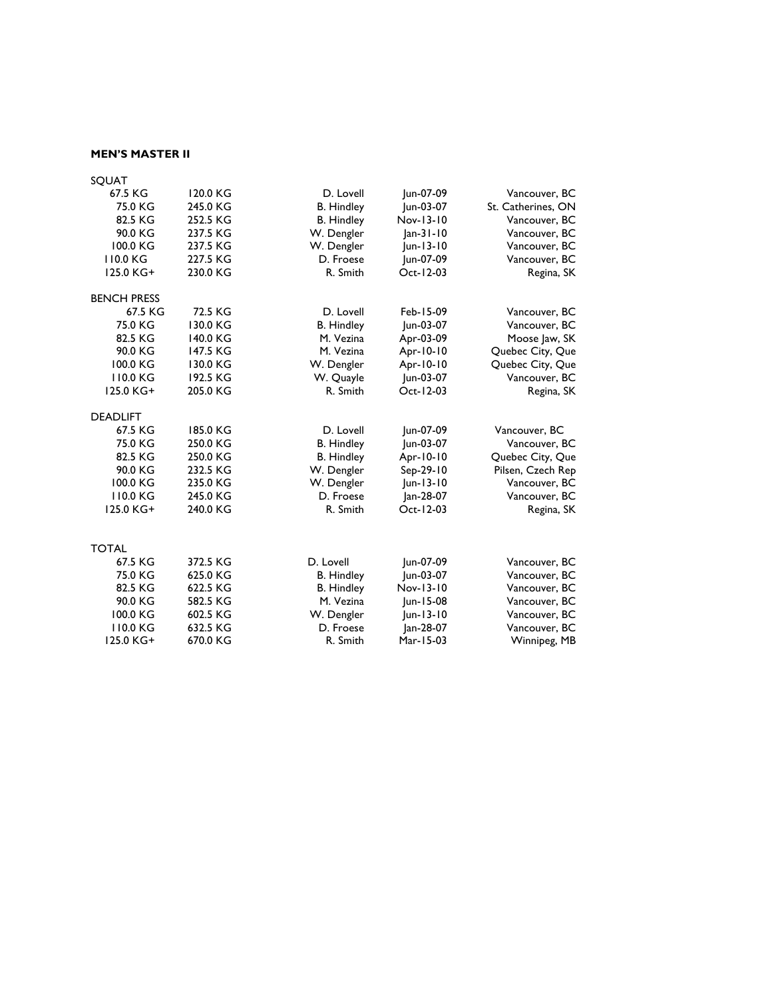### **MEN'S MASTER II**

| <b>SOUAT</b>       |          |                   |             |                    |
|--------------------|----------|-------------------|-------------|--------------------|
| 67.5 KG            | 120.0 KG | D. Lovell         | Jun-07-09   | Vancouver, BC      |
| 75.0 KG            | 245.0 KG | <b>B.</b> Hindley | Jun-03-07   | St. Catherines, ON |
| 82.5 KG            | 252.5 KG | <b>B.</b> Hindley | Nov-13-10   | Vancouver, BC      |
| 90.0 KG            | 237.5 KG | W. Dengler        | $Jan-31-10$ | Vancouver, BC      |
| 100.0 KG           | 237.5 KG | W. Dengler        | Jun-13-10   | Vancouver, BC      |
| 110.0 KG           | 227.5 KG | D. Froese         | Jun-07-09   | Vancouver, BC      |
| 125.0 KG+          | 230.0 KG | R. Smith          | Oct-12-03   | Regina, SK         |
| <b>BENCH PRESS</b> |          |                   |             |                    |
| 67.5 KG            | 72.5 KG  | D. Lovell         | Feb-15-09   | Vancouver, BC      |
| 75.0 KG            | 130.0 KG | <b>B.</b> Hindley | Jun-03-07   | Vancouver, BC      |
| 82.5 KG            | 140.0 KG | M. Vezina         | Apr-03-09   | Moose Jaw, SK      |
| 90.0 KG            | 147.5 KG | M. Vezina         | Apr-10-10   | Quebec City, Que   |
| 100.0 KG           | 130.0 KG | W. Dengler        | Apr-10-10   | Quebec City, Que   |
| 110.0 KG           | 192.5 KG | W. Quayle         | Jun-03-07   | Vancouver, BC      |
| 125.0 KG+          | 205.0 KG | R. Smith          | Oct-12-03   | Regina, SK         |
| <b>DEADLIFT</b>    |          |                   |             |                    |
| 67.5 KG            | 185.0 KG | D. Lovell         | Jun-07-09   | Vancouver, BC      |
| 75.0 KG            | 250.0 KG | <b>B.</b> Hindley | Jun-03-07   | Vancouver, BC      |
| 82.5 KG            | 250.0 KG | <b>B.</b> Hindley | Apr-10-10   | Quebec City, Que   |
| 90.0 KG            | 232.5 KG | W. Dengler        | Sep-29-10   | Pilsen, Czech Rep  |
| 100.0 KG           | 235.0 KG | W. Dengler        | Jun-13-10   | Vancouver, BC      |
| 110.0 KG           | 245.0 KG | D. Froese         | lan-28-07   | Vancouver, BC      |
| 125.0 KG+          | 240.0 KG | R. Smith          | Oct-12-03   | Regina, SK         |
|                    |          |                   |             |                    |
| <b>TOTAL</b>       |          |                   |             |                    |
| 67.5 KG            | 372.5 KG | D. Lovell         | Jun-07-09   | Vancouver, BC      |
| 75.0 KG            | 625.0 KG | <b>B.</b> Hindley | Jun-03-07   | Vancouver, BC      |
| 82.5 KG            | 622.5 KG | <b>B.</b> Hindley | Nov-13-10   | Vancouver, BC      |
| 90.0 KG            | 582.5 KG | M. Vezina         | Jun-15-08   | Vancouver, BC      |
| 100.0 KG           | 602.5 KG | W. Dengler        | $ un-13-10$ | Vancouver, BC      |
| 110.0 KG           | 632.5 KG | D. Froese         | lan-28-07   | Vancouver, BC      |
| 125.0 KG+          | 670.0 KG | R. Smith          | Mar-15-03   | Winnipeg, MB       |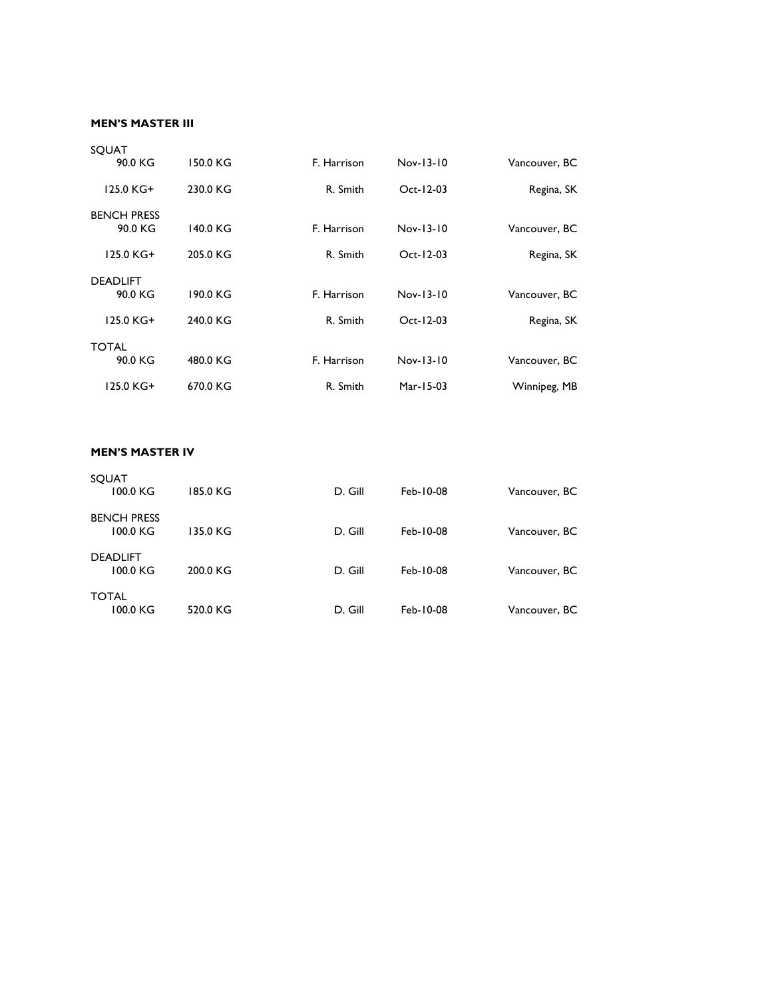#### **MEN'S MASTER III**

|               |                 |             |          | SQUAT              |
|---------------|-----------------|-------------|----------|--------------------|
| Vancouver, BC | Nov-13-10       | F. Harrison | 150.0 KG | 90.0 KG            |
| Regina, SK    | $Oct - 12 - 03$ | R. Smith    | 230.0 KG | 125.0 KG+          |
|               |                 |             |          | <b>BENCH PRESS</b> |
| Vancouver, BC | Nov-13-10       | F. Harrison | 140.0 KG | 90.0 KG            |
| Regina, SK    | $Oct-12-03$     | R. Smith    | 205.0 KG | 125.0 KG+          |
|               |                 |             |          | <b>DEADLIFT</b>    |
| Vancouver, BC | $Nov-13-10$     | F. Harrison | 190.0 KG | 90.0 KG            |
| Regina, SK    | Oct-12-03       | R. Smith    | 240.0 KG | 125.0 KG+          |
|               |                 |             |          | <b>TOTAL</b>       |
| Vancouver, BC | Nov-13-10       | F. Harrison | 480.0 KG | 90.0 KG            |
| Winnipeg, MB  | Mar-15-03       | R. Smith    | 670.0 KG | 125.0 KG+          |
|               |                 |             |          |                    |

### **MEN'S MASTER IV**

| <b>SOUAT</b>                   |          |         |           |               |
|--------------------------------|----------|---------|-----------|---------------|
| 100.0 KG                       | 185.0 KG | D. Gill | Feb-10-08 | Vancouver, BC |
| <b>BENCH PRESS</b><br>100.0 KG | 135.0 KG | D. Gill | Feb-10-08 | Vancouver, BC |
| <b>DEADLIFT</b><br>100.0 KG    | 200.0 KG | D. Gill | Feb-10-08 | Vancouver, BC |
| <b>TOTAL</b><br>100.0 KG       | 520.0 KG | D. Gill | Feb-10-08 | Vancouver, BC |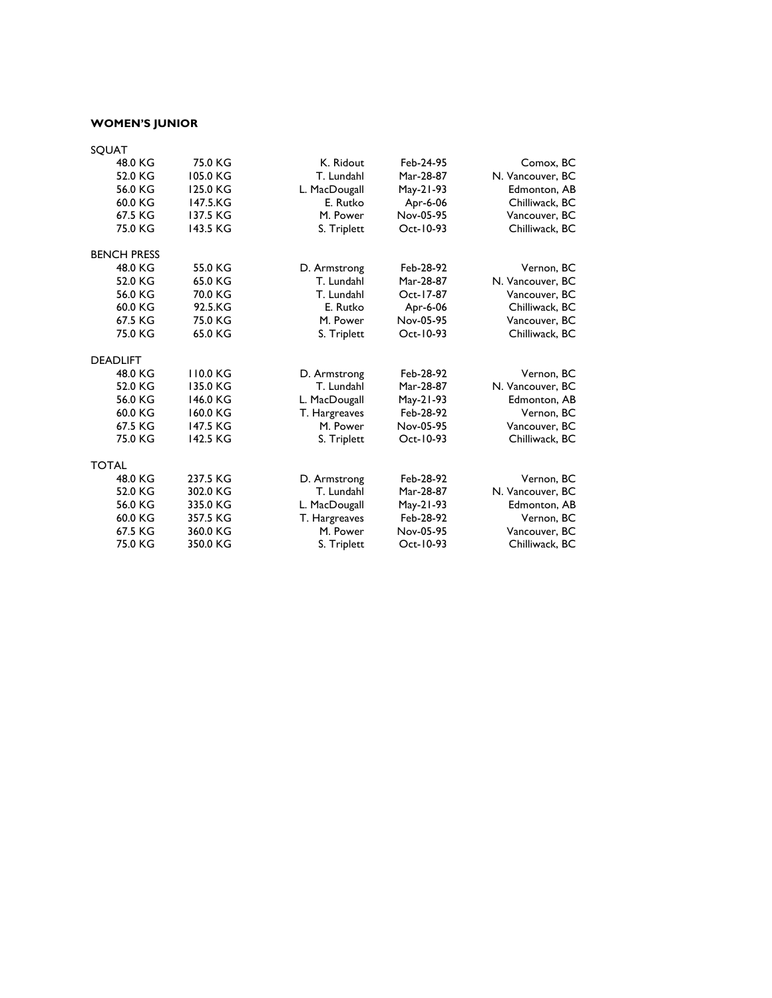# **WOMEN'S JUNIOR**

| 75.0 KG  | K. Ridout     | Feb-24-95 | Comox, BC        |
|----------|---------------|-----------|------------------|
| 105.0 KG | T. Lundahl    | Mar-28-87 | N. Vancouver, BC |
| 125.0 KG | L. MacDougall | May-21-93 | Edmonton, AB     |
| 147.5.KG | E. Rutko      | Apr-6-06  | Chilliwack, BC   |
| 137.5 KG | M. Power      | Nov-05-95 | Vancouver, BC    |
| 143.5 KG | S. Triplett   | Oct-10-93 | Chilliwack, BC   |
|          |               |           |                  |
| 55.0 KG  | D. Armstrong  | Feb-28-92 | Vernon, BC       |
| 65.0 KG  | T. Lundahl    | Mar-28-87 | N. Vancouver, BC |
| 70.0 KG  | T. Lundahl    | Oct-17-87 | Vancouver, BC    |
| 92.5.KG  | E. Rutko      | Apr-6-06  | Chilliwack, BC   |
| 75.0 KG  | M. Power      | Nov-05-95 | Vancouver, BC    |
| 65.0 KG  | S. Triplett   | Oct-10-93 | Chilliwack, BC   |
|          |               |           |                  |
| 110.0 KG | D. Armstrong  | Feb-28-92 | Vernon, BC       |
| 135.0 KG | T. Lundahl    | Mar-28-87 | N. Vancouver, BC |
| 146.0 KG | L. MacDougall | May-21-93 | Edmonton, AB     |
| 160.0 KG | T. Hargreaves | Feb-28-92 | Vernon, BC       |
| 147.5 KG | M. Power      | Nov-05-95 | Vancouver, BC    |
| 142.5 KG | S. Triplett   | Oct-10-93 | Chilliwack, BC   |
|          |               |           |                  |
| 237.5 KG | D. Armstrong  | Feb-28-92 | Vernon, BC       |
| 302.0 KG | T. Lundahl    | Mar-28-87 | N. Vancouver, BC |
| 335.0 KG | L. MacDougall | May-21-93 | Edmonton, AB     |
| 357.5 KG | T. Hargreaves | Feb-28-92 | Vernon, BC       |
| 360.0 KG | M. Power      | Nov-05-95 | Vancouver, BC    |
| 350.0 KG | S. Triplett   | Oct-10-93 | Chilliwack, BC   |
|          |               |           |                  |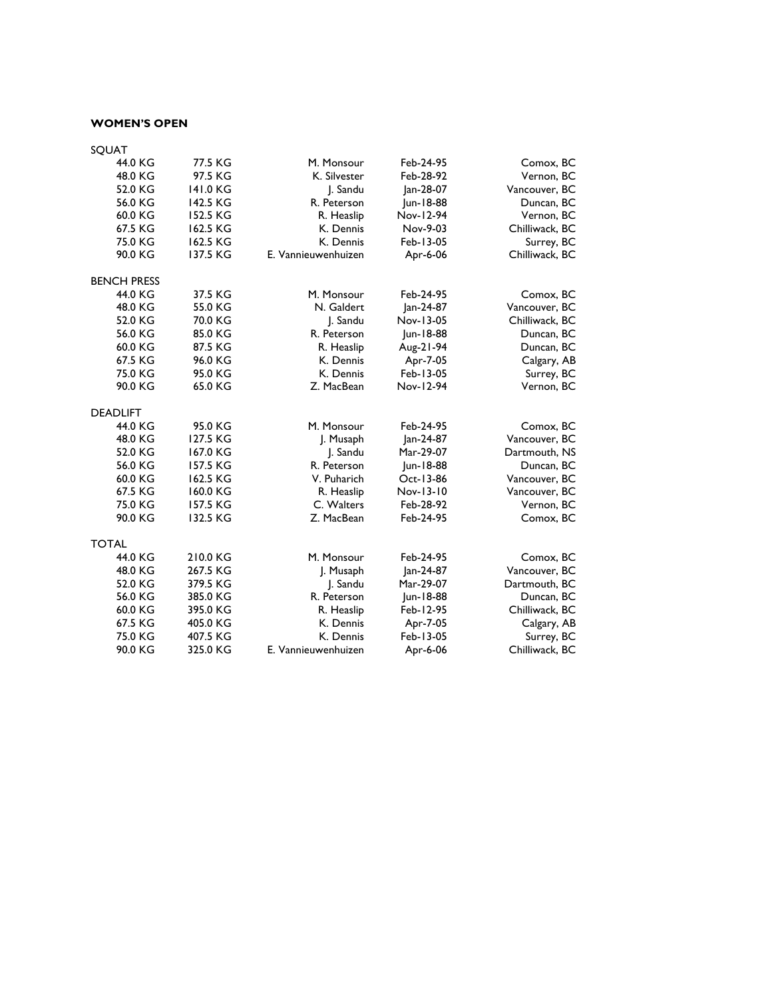#### **WOMEN'S OPEN**

| SQUAT              |          |                     |           |                |  |
|--------------------|----------|---------------------|-----------|----------------|--|
| 44.0 KG            | 77.5 KG  | M. Monsour          | Feb-24-95 | Comox, BC      |  |
| 48.0 KG            | 97.5 KG  | K. Silvester        | Feb-28-92 | Vernon, BC     |  |
| 52.0 KG            | 141.0 KG | J. Sandu            | Jan-28-07 | Vancouver, BC  |  |
| 56.0 KG            | 142.5 KG | R. Peterson         | Jun-18-88 | Duncan, BC     |  |
| 60.0 KG            | 152.5 KG | R. Heaslip          | Nov-12-94 | Vernon, BC     |  |
| 67.5 KG            | 162.5 KG | K. Dennis           | Nov-9-03  | Chilliwack, BC |  |
| 75.0 KG            | 162.5 KG | K. Dennis           | Feb-13-05 | Surrey, BC     |  |
| 90.0 KG            | 137.5 KG | E. Vannieuwenhuizen | Apr-6-06  | Chilliwack, BC |  |
| <b>BENCH PRESS</b> |          |                     |           |                |  |
| 44.0 KG            | 37.5 KG  | M. Monsour          | Feb-24-95 | Comox, BC      |  |
| 48.0 KG            | 55.0 KG  | N. Galdert          | Jan-24-87 | Vancouver, BC  |  |
| 52.0 KG            | 70.0 KG  | J. Sandu            | Nov-13-05 | Chilliwack, BC |  |
| 56.0 KG            | 85.0 KG  | R. Peterson         | Jun-18-88 | Duncan, BC     |  |
| 60.0 KG            | 87.5 KG  | R. Heaslip          | Aug-21-94 | Duncan, BC     |  |
| 67.5 KG            | 96.0 KG  | K. Dennis           | Apr-7-05  | Calgary, AB    |  |
| 75.0 KG            | 95.0 KG  | K. Dennis           | Feb-13-05 | Surrey, BC     |  |
| 90.0 KG            | 65.0 KG  | Z. MacBean          | Nov-12-94 | Vernon, BC     |  |
| <b>DEADLIFT</b>    |          |                     |           |                |  |
| 44.0 KG            | 95.0 KG  | M. Monsour          | Feb-24-95 | Comox, BC      |  |
| 48.0 KG            | 127.5 KG | J. Musaph           | Jan-24-87 | Vancouver, BC  |  |
| 52.0 KG            | 167.0 KG | J. Sandu            | Mar-29-07 | Dartmouth, NS  |  |
| 56.0 KG            | 157.5 KG | R. Peterson         | Jun-18-88 | Duncan, BC     |  |
| 60.0 KG            | 162.5 KG | V. Puharich         | Oct-13-86 | Vancouver, BC  |  |
| 67.5 KG            | 160.0 KG | R. Heaslip          | Nov-13-10 | Vancouver, BC  |  |
| 75.0 KG            | 157.5 KG | C. Walters          | Feb-28-92 | Vernon, BC     |  |
| 90.0 KG            | 132.5 KG | Z. MacBean          | Feb-24-95 | Comox, BC      |  |
| <b>TOTAL</b>       |          |                     |           |                |  |
| 44.0 KG            | 210.0 KG | M. Monsour          | Feb-24-95 | Comox, BC      |  |
| 48.0 KG            | 267.5 KG | J. Musaph           | Jan-24-87 | Vancouver, BC  |  |
| 52.0 KG            | 379.5 KG | J. Sandu            | Mar-29-07 | Dartmouth, BC  |  |
| 56.0 KG            | 385.0 KG | R. Peterson         | Jun-18-88 | Duncan, BC     |  |
| 60.0 KG            | 395.0 KG | R. Heaslip          | Feb-12-95 | Chilliwack, BC |  |
| 67.5 KG            | 405.0 KG | K. Dennis           | Apr-7-05  | Calgary, AB    |  |
| 75.0 KG            | 407.5 KG | K. Dennis           | Feb-13-05 | Surrey, BC     |  |
| 90.0 KG            | 325.0 KG | E. Vannieuwenhuizen | Apr-6-06  | Chilliwack, BC |  |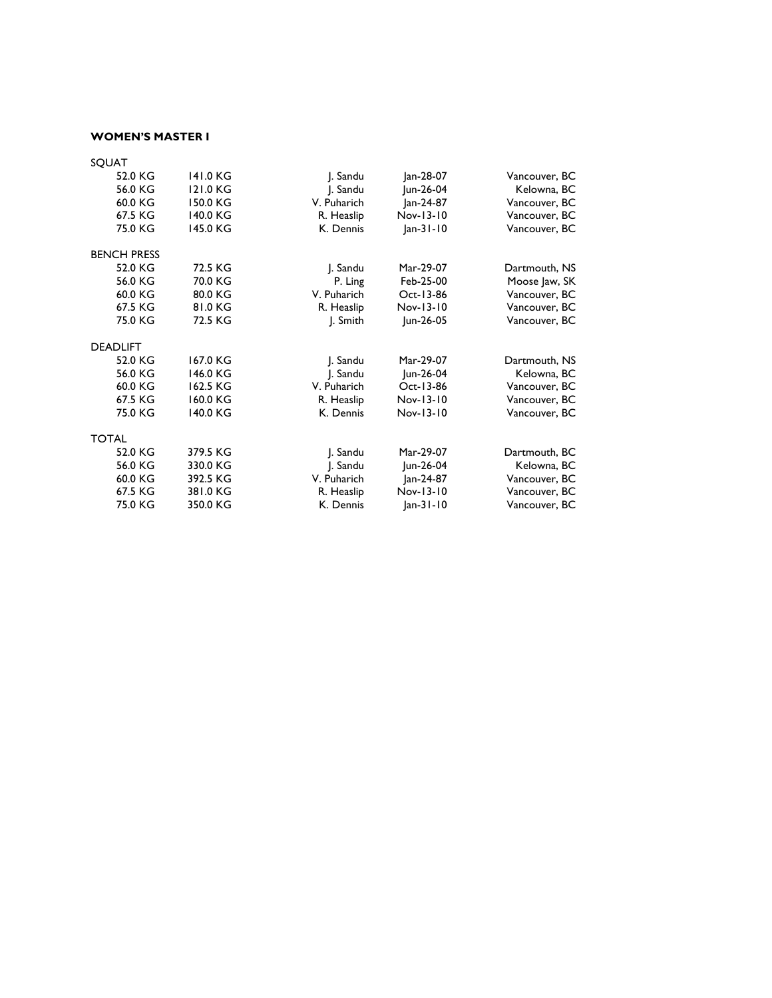### **WOMEN'S MASTER I**

| SQUAT              |          |             |             |               |
|--------------------|----------|-------------|-------------|---------------|
| 52.0 KG            | 141.0 KG | J. Sandu    | Jan-28-07   | Vancouver, BC |
| 56.0 KG            | 121.0 KG | J. Sandu    | Jun-26-04   | Kelowna, BC   |
| 60.0 KG            | 150.0 KG | V. Puharich | Jan-24-87   | Vancouver, BC |
| 67.5 KG            | 140.0 KG | R. Heaslip  | Nov-13-10   | Vancouver, BC |
| 75.0 KG            | 145.0 KG | K. Dennis   | $ an-31-10$ | Vancouver, BC |
| <b>BENCH PRESS</b> |          |             |             |               |
| 52.0 KG            | 72.5 KG  | J. Sandu    | Mar-29-07   | Dartmouth, NS |
| 56.0 KG            | 70.0 KG  | P. Ling     | Feb-25-00   | Moose Jaw, SK |
| 60.0 KG            | 80.0 KG  | V. Puharich | Oct-13-86   | Vancouver, BC |
| 67.5 KG            | 81.0 KG  | R. Heaslip  | Nov-13-10   | Vancouver, BC |
| 75.0 KG            | 72.5 KG  | J. Smith    | Jun-26-05   | Vancouver, BC |
| <b>DEADLIFT</b>    |          |             |             |               |
| 52.0 KG            | 167.0 KG | J. Sandu    | Mar-29-07   | Dartmouth, NS |
| 56.0 KG            | 146.0 KG | J. Sandu    | Jun-26-04   | Kelowna, BC   |
| 60.0 KG            | 162.5 KG | V. Puharich | Oct-13-86   | Vancouver, BC |
| 67.5 KG            | 160.0 KG | R. Heaslip  | Nov-13-10   | Vancouver, BC |
| 75.0 KG            | 140.0 KG | K. Dennis   | Nov-13-10   | Vancouver, BC |
| <b>TOTAL</b>       |          |             |             |               |
| 52.0 KG            | 379.5 KG | J. Sandu    | Mar-29-07   | Dartmouth, BC |
| 56.0 KG            | 330.0 KG | J. Sandu    | Jun-26-04   | Kelowna, BC   |
| 60.0 KG            | 392.5 KG | V. Puharich | Jan-24-87   | Vancouver, BC |
| 67.5 KG            | 381.0 KG | R. Heaslip  | Nov-13-10   | Vancouver, BC |
| 75.0 KG            | 350.0 KG | K. Dennis   | $ an-31-10$ | Vancouver, BC |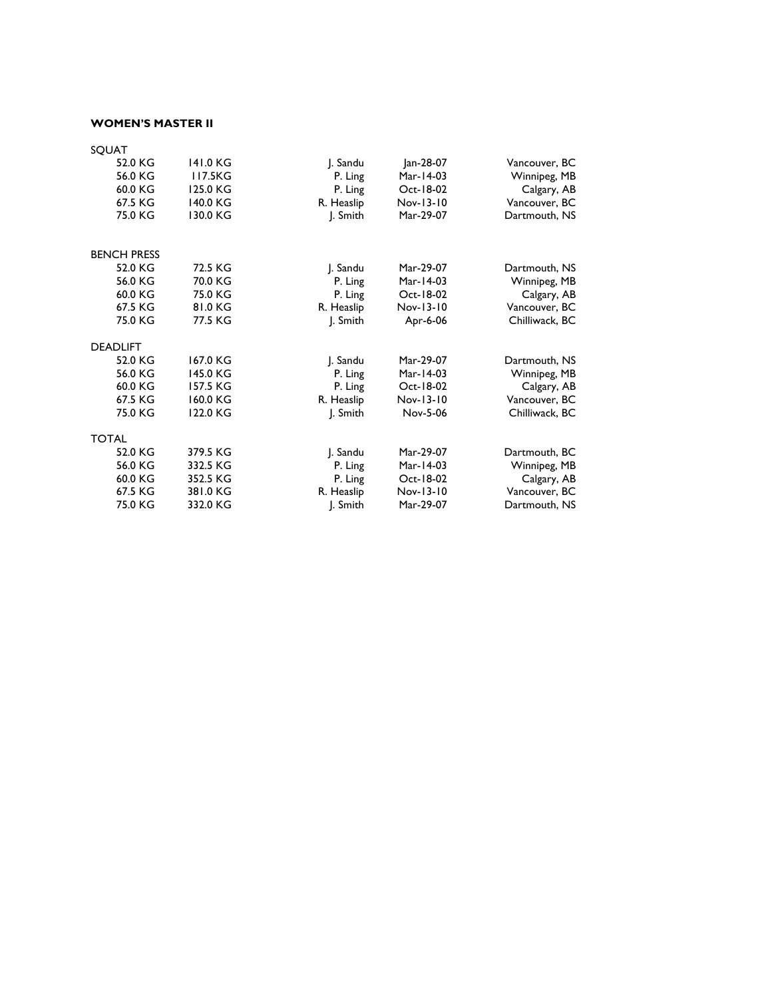### **WOMEN'S MASTER II**

| SQUAT              |          |            |           |                |
|--------------------|----------|------------|-----------|----------------|
| 52.0 KG            | 141.0 KG | J. Sandu   | Jan-28-07 | Vancouver, BC  |
| 56.0 KG            | 117.5KG  | P. Ling    | Mar-14-03 | Winnipeg, MB   |
| 60.0 KG            | 125.0 KG | P. Ling    | Oct-18-02 | Calgary, AB    |
| 67.5 KG            | 140.0 KG | R. Heaslip | Nov-13-10 | Vancouver, BC  |
| 75.0 KG            | 130.0 KG | J. Smith   | Mar-29-07 | Dartmouth, NS  |
| <b>BENCH PRESS</b> |          |            |           |                |
| 52.0 KG            | 72.5 KG  | J. Sandu   | Mar-29-07 | Dartmouth, NS  |
| 56.0 KG            | 70.0 KG  | P. Ling    | Mar-14-03 | Winnipeg, MB   |
| 60.0 KG            | 75.0 KG  | P. Ling    | Oct-18-02 | Calgary, AB    |
| 67.5 KG            | 81.0 KG  | R. Heaslip | Nov-13-10 | Vancouver, BC  |
| 75.0 KG            | 77.5 KG  | J. Smith   | Apr-6-06  | Chilliwack, BC |
| <b>DEADLIFT</b>    |          |            |           |                |
| 52.0 KG            | 167.0 KG | J. Sandu   | Mar-29-07 | Dartmouth, NS  |
| 56.0 KG            | 145.0 KG | P. Ling    | Mar-14-03 | Winnipeg, MB   |
| 60.0 KG            | 157.5 KG | P. Ling    | Oct-18-02 | Calgary, AB    |
| 67.5 KG            | 160.0 KG | R. Heaslip | Nov-13-10 | Vancouver, BC  |
| 75.0 KG            | 122.0 KG | J. Smith   | Nov-5-06  | Chilliwack, BC |
| <b>TOTAL</b>       |          |            |           |                |
| 52.0 KG            | 379.5 KG | J. Sandu   | Mar-29-07 | Dartmouth, BC  |
| 56.0 KG            | 332.5 KG | P. Ling    | Mar-14-03 | Winnipeg, MB   |
| 60.0 KG            | 352.5 KG | P. Ling    | Oct-18-02 | Calgary, AB    |
| 67.5 KG            | 381.0 KG | R. Heaslip | Nov-13-10 | Vancouver, BC  |
| 75.0 KG            | 332.0 KG | J. Smith   | Mar-29-07 | Dartmouth, NS  |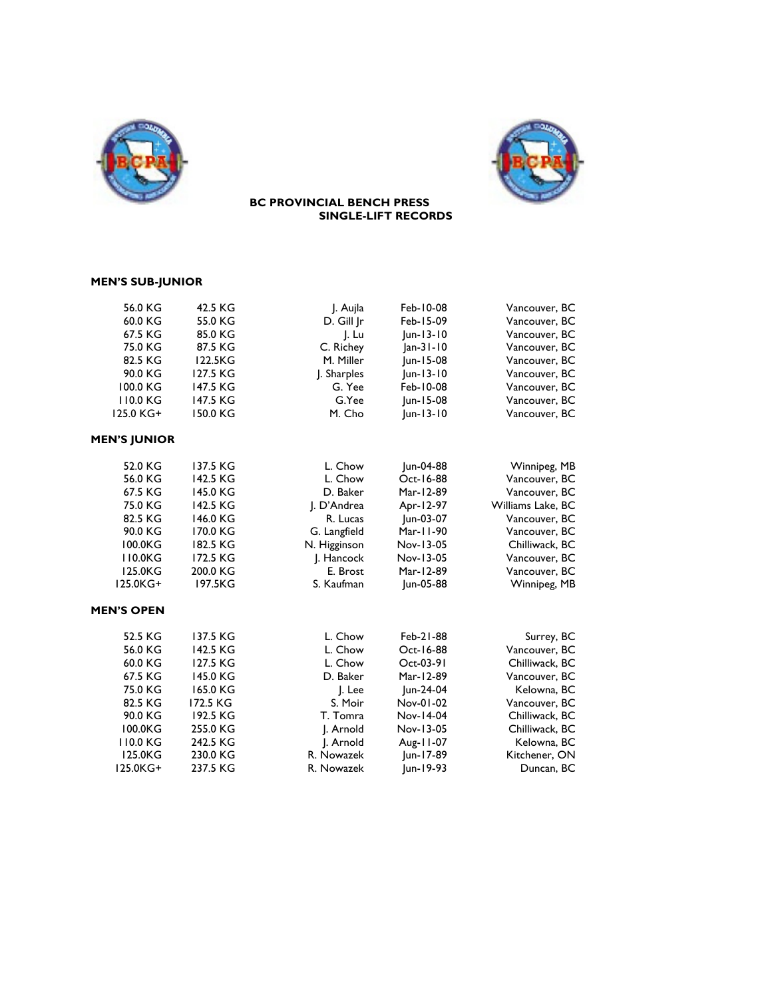



#### **BC PROVINCIAL BENCH PRESS SINGLE-LIFT RECORDS**

# **MEN'S SUB-JUNIOR**

| 56.0 KG             | 42.5 KG  | J. Aujla     | Feb-10-08   | Vancouver, BC     |
|---------------------|----------|--------------|-------------|-------------------|
| 60.0 KG             | 55.0 KG  | D. Gill Jr   | Feb-15-09   | Vancouver, BC     |
| 67.5 KG             | 85.0 KG  | J. Lu        | $ un-13-10$ | Vancouver, BC     |
| 75.0 KG             | 87.5 KG  | C. Richey    | Jan-31-10   | Vancouver, BC     |
| 82.5 KG             | 122.5KG  | M. Miller    | Jun-15-08   | Vancouver, BC     |
| 90.0 KG             | 127.5 KG | J. Sharples  | Jun-13-10   | Vancouver, BC     |
| 100.0 KG            | 147.5 KG | G. Yee       | Feb-10-08   | Vancouver, BC     |
| 110.0 KG            | 147.5 KG | G.Yee        | Jun-15-08   | Vancouver, BC     |
| 125.0 KG+           | 150.0 KG | M. Cho       | $ un-13-10$ | Vancouver, BC     |
| <b>MEN'S JUNIOR</b> |          |              |             |                   |
| 52.0 KG             | 137.5 KG | L. Chow      | Jun-04-88   | Winnipeg, MB      |
| 56.0 KG             | 142.5 KG | L. Chow      | Oct-16-88   | Vancouver, BC     |
| 67.5 KG             | 145.0 KG | D. Baker     | Mar-12-89   | Vancouver, BC     |
| 75.0 KG             | 142.5 KG | J. D'Andrea  | Apr-12-97   | Williams Lake, BC |
| 82.5 KG             | 146.0 KG | R. Lucas     | Jun-03-07   | Vancouver, BC     |
| 90.0 KG             | 170.0 KG | G. Langfield | Mar-11-90   | Vancouver, BC     |
| 100.0KG             | 182.5 KG | N. Higginson | Nov-13-05   | Chilliwack, BC    |
| 110.0KG             | 172.5 KG | J. Hancock   | Nov-13-05   | Vancouver, BC     |
| 125.0KG             | 200.0 KG | E. Brost     | Mar-12-89   | Vancouver, BC     |
| 125.0KG+            | 197.5KG  | S. Kaufman   | Jun-05-88   | Winnipeg, MB      |
| <b>MEN'S OPEN</b>   |          |              |             |                   |
| 52.5 KG             | 137.5 KG | L. Chow      | Feb-21-88   | Surrey, BC        |
| 56.0 KG             | 142.5 KG | L. Chow      | Oct-16-88   | Vancouver, BC     |
| 60.0 KG             | 127.5 KG | L. Chow      | Oct-03-91   | Chilliwack, BC    |
| 67.5 KG             | 145.0 KG | D. Baker     | Mar-12-89   | Vancouver, BC     |
| 75.0 KG             | 165.0 KG | J. Lee       | Jun-24-04   | Kelowna, BC       |
| 82.5 KG             | 172.5 KG | S. Moir      | Nov-01-02   | Vancouver, BC     |
| 90.0 KG             | 192.5 KG | T. Tomra     | Nov-14-04   | Chilliwack, BC    |
| 100.0KG             | 255.0 KG | J. Arnold    | Nov-13-05   | Chilliwack, BC    |
| 110.0 KG            | 242.5 KG | J. Arnold    | Aug-11-07   | Kelowna, BC       |
| 125.0KG             | 230.0 KG | R. Nowazek   | Jun-17-89   | Kitchener, ON     |
| 125.0KG+            | 237.5 KG | R. Nowazek   | Jun-19-93   | Duncan, BC        |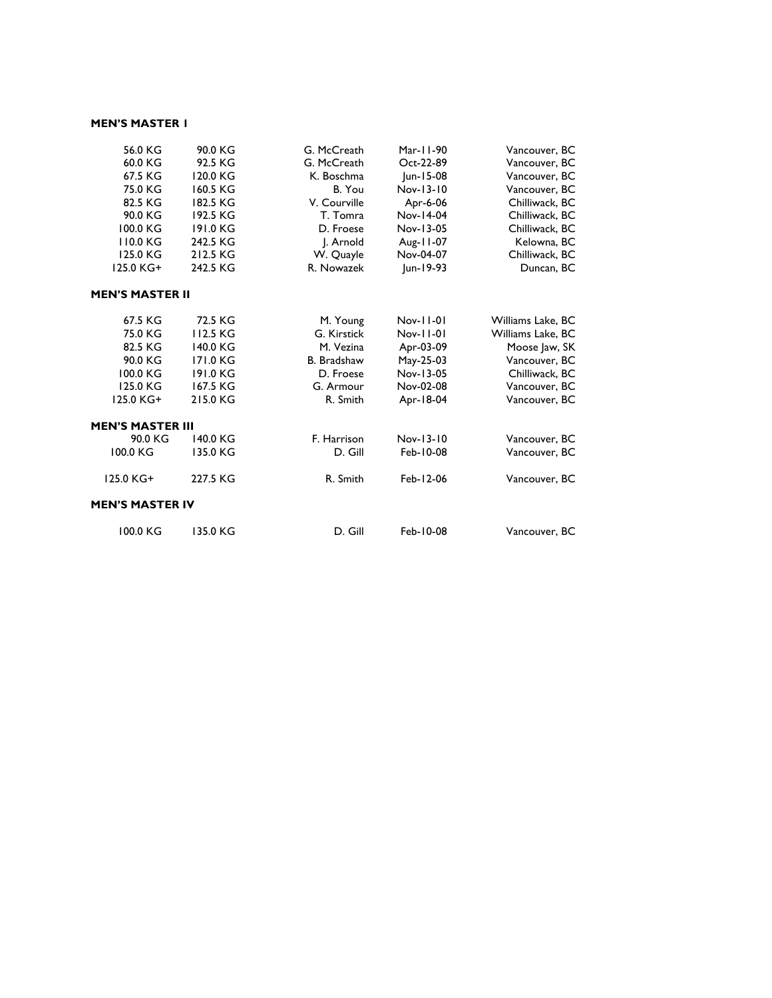#### **MEN'S MASTER 1**

| 56.0 KG                | 90.0 KG  | G. McCreath        | Mar-11-90 | Vancouver, BC     |
|------------------------|----------|--------------------|-----------|-------------------|
| 60.0 KG                | 92.5 KG  | G. McCreath        | Oct-22-89 | Vancouver, BC     |
| 67.5 KG                | 120.0 KG | K. Boschma         | Jun-15-08 | Vancouver, BC     |
| 75.0 KG                | 160.5 KG | B. You             | Nov-13-10 | Vancouver, BC     |
| 82.5 KG                | 182.5 KG | V. Courville       | Apr-6-06  | Chilliwack, BC    |
| 90.0 KG                | 192.5 KG | T. Tomra           | Nov-14-04 | Chilliwack, BC    |
| 100.0 KG               | 191.0 KG | D. Froese          | Nov-13-05 | Chilliwack, BC    |
| 110.0 KG               | 242.5 KG | J. Arnold          | Aug-11-07 | Kelowna, BC       |
| 125.0 KG               | 212.5 KG | W. Quayle          | Nov-04-07 | Chilliwack, BC    |
| 125.0 KG+              | 242.5 KG | R. Nowazek         | Jun-19-93 | Duncan, BC        |
| <b>MEN'S MASTER II</b> |          |                    |           |                   |
| 67.5 KG                | 72.5 KG  | M. Young           | Nov-11-01 | Williams Lake, BC |
| 75.0 KG                | 112.5 KG | G. Kirstick        | Nov-11-01 | Williams Lake, BC |
| 82.5 KG                | 140.0 KG | M. Vezina          | Apr-03-09 | Moose Jaw, SK     |
| 90.0 KG                | 171.0 KG | <b>B.</b> Bradshaw | May-25-03 | Vancouver, BC     |
| 100.0 KG               | 191.0 KG | D. Froese          | Nov-13-05 | Chilliwack, BC    |
| 125.0 KG               | 167.5 KG | G. Armour          | Nov-02-08 | Vancouver, BC     |
| 125.0 KG+              | 215.0 KG | R. Smith           | Apr-18-04 | Vancouver, BC     |
| MEN'S MASTER III       |          |                    |           |                   |
| 90.0 KG                | 140.0 KG | F. Harrison        | Nov-13-10 | Vancouver, BC     |
| 100.0 KG               | 135.0 KG | D. Gill            | Feb-10-08 | Vancouver, BC     |
| 125.0 KG+              | 227.5 KG | R. Smith           | Feb-12-06 | Vancouver, BC     |
| <b>MEN'S MASTER IV</b> |          |                    |           |                   |
| 100.0 KG               | 135.0 KG | D. Gill            | Feb-10-08 | Vancouver, BC     |